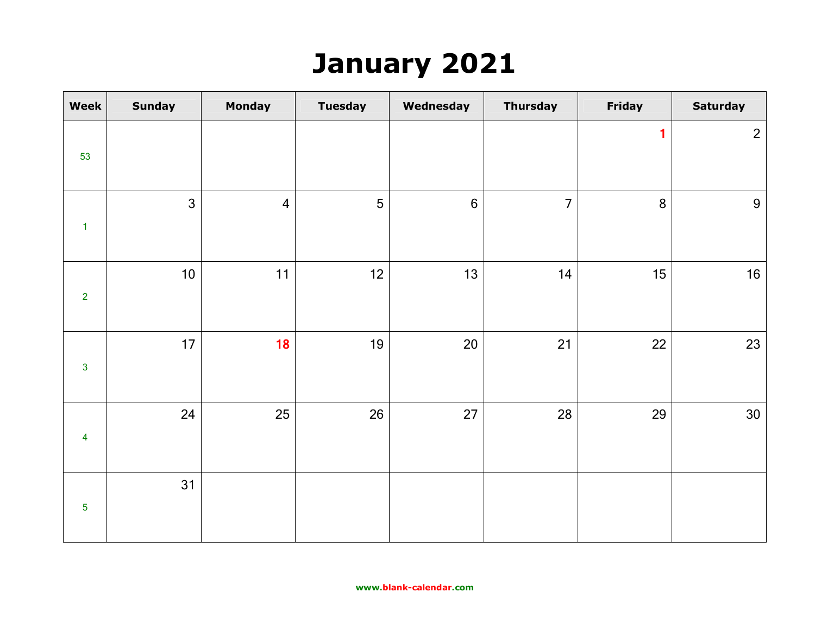## **January 2021**

| Week                    | <b>Sunday</b>  | <b>Monday</b>  | <b>Tuesday</b> | Wednesday | <b>Thursday</b> | Friday         | <b>Saturday</b> |
|-------------------------|----------------|----------------|----------------|-----------|-----------------|----------------|-----------------|
|                         |                |                |                |           |                 | $\blacksquare$ | $\overline{2}$  |
| 53                      |                |                |                |           |                 |                |                 |
|                         | $\overline{3}$ | $\overline{4}$ | 5              | $6\,$     | $\overline{7}$  | 8              | $9\,$           |
| $\mathbf{1}$            |                |                |                |           |                 |                |                 |
|                         | $10$           | 11             | 12             | 13        | 14              | 15             | 16              |
| $\overline{2}$          |                |                |                |           |                 |                |                 |
|                         | 17             | 18             | 19             | $20\,$    | 21              | 22             | 23              |
| $\overline{3}$          |                |                |                |           |                 |                |                 |
|                         | 24             | 25             | 26             | 27        | 28              | 29             | 30              |
| $\overline{\mathbf{4}}$ |                |                |                |           |                 |                |                 |
|                         | 31             |                |                |           |                 |                |                 |
| $\overline{5}$          |                |                |                |           |                 |                |                 |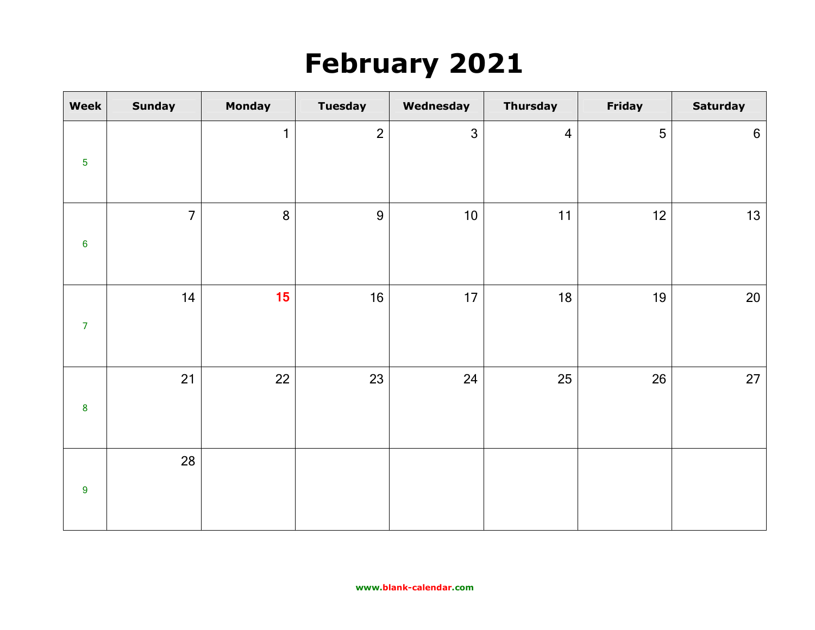# **February 2021**

| Week             | <b>Sunday</b>  | <b>Monday</b> | <b>Tuesday</b> | Wednesday    | <b>Thursday</b> | Friday | <b>Saturday</b>  |
|------------------|----------------|---------------|----------------|--------------|-----------------|--------|------------------|
| $\overline{5}$   |                | $\mathbf{1}$  | $\overline{2}$ | $\mathbf{3}$ | $\overline{4}$  | 5      | $\boldsymbol{6}$ |
| $\bf 6$          | $\overline{7}$ | 8             | $\overline{9}$ | $10$         | 11              | 12     | 13               |
| $\overline{7}$   | 14             | 15            | 16             | 17           | 18              | 19     | $20\,$           |
| $\pmb{8}$        | 21             | 22            | 23             | 24           | 25              | 26     | $27$             |
| $\boldsymbol{9}$ | 28             |               |                |              |                 |        |                  |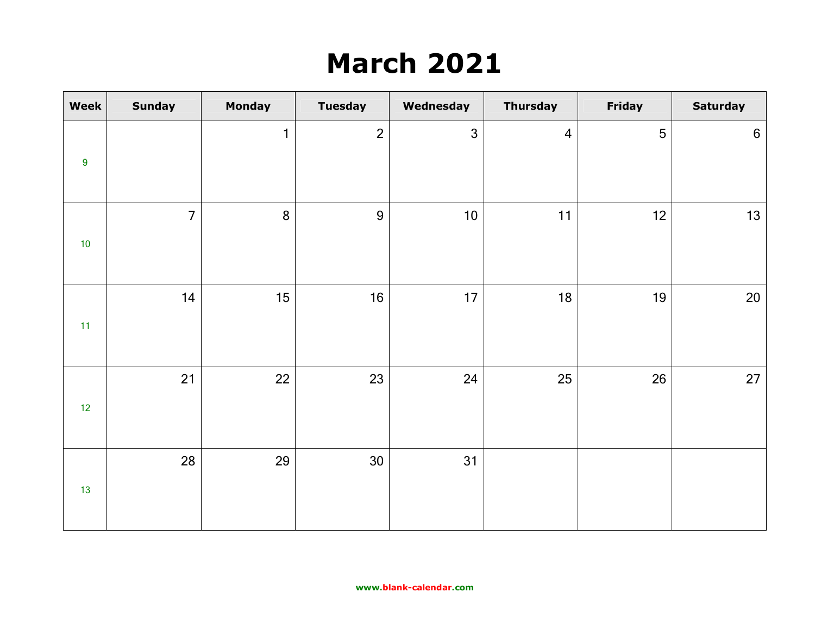# **March 2021**

| <b>Week</b>      | <b>Sunday</b>  | <b>Monday</b> | <b>Tuesday</b> | Wednesday    | <b>Thursday</b> | Friday | <b>Saturday</b> |
|------------------|----------------|---------------|----------------|--------------|-----------------|--------|-----------------|
| $\boldsymbol{9}$ |                | $\mathbf{1}$  | $\overline{2}$ | $\mathbf{3}$ | $\overline{4}$  | 5      | $6\,$           |
|                  |                |               |                |              |                 |        |                 |
| $10$             | $\overline{7}$ | 8             | $\overline{9}$ | $10$         | 11              | 12     | 13              |
| 11               | 14             | 15            | 16             | 17           | 18              | 19     | 20              |
| 12               | 21             | 22            | 23             | 24           | 25              | 26     | 27              |
| $13$             | 28             | 29            | 30             | 31           |                 |        |                 |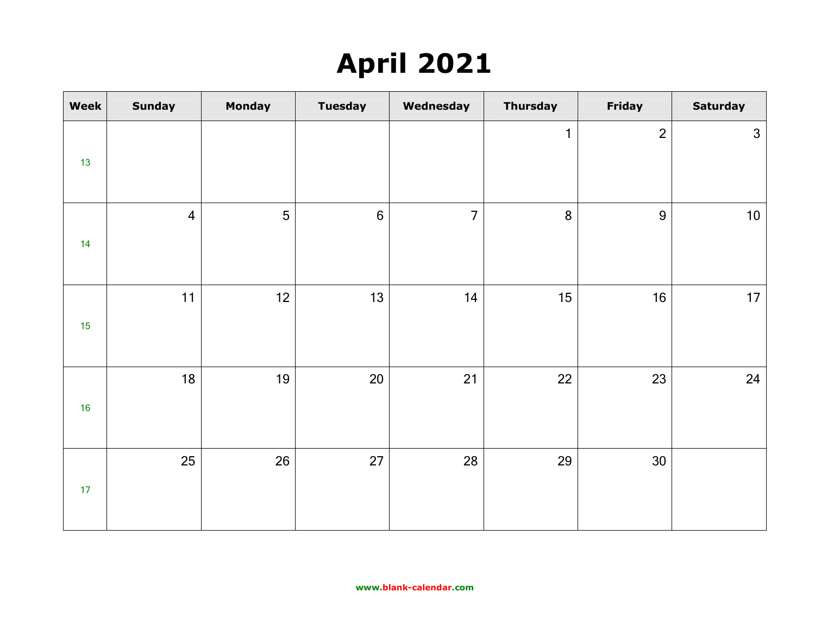# **April 2021**

| Week | <b>Sunday</b>  | <b>Monday</b> | <b>Tuesday</b> | Wednesday      | <b>Thursday</b> | Friday         | <b>Saturday</b> |
|------|----------------|---------------|----------------|----------------|-----------------|----------------|-----------------|
| 13   |                |               |                |                | $\mathbf{1}$    | $\overline{2}$ | $\mathfrak{Z}$  |
| 14   | $\overline{4}$ | 5             | $6\phantom{a}$ | $\overline{7}$ | 8               | $\overline{9}$ | 10 <sub>1</sub> |
| 15   | 11             | 12            | 13             | 14             | 15              | 16             | 17              |
| 16   | 18             | 19            | 20             | 21             | 22              | 23             | 24              |
| 17   | 25             | 26            | 27             | 28             | 29              | 30             |                 |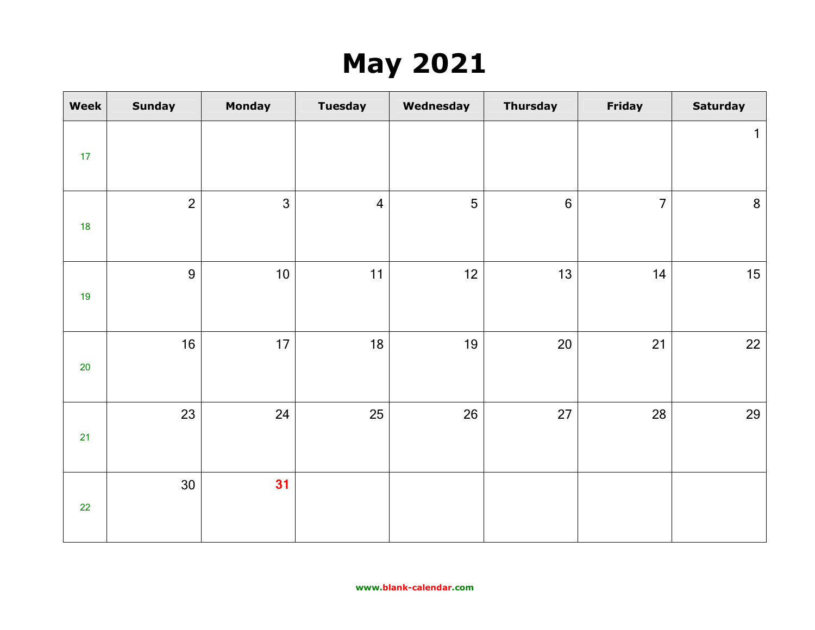# **May 2021**

| Week   | <b>Sunday</b>  | <b>Monday</b>  | <b>Tuesday</b> | Wednesday | <b>Thursday</b> | Friday         | <b>Saturday</b> |
|--------|----------------|----------------|----------------|-----------|-----------------|----------------|-----------------|
| 17     |                |                |                |           |                 |                | $\mathbf{1}$    |
|        |                |                |                |           |                 |                |                 |
| 18     | $\overline{2}$ | $\overline{3}$ | $\overline{4}$ | 5         | $6\phantom{a}$  | $\overline{7}$ | $8\phantom{1}$  |
|        |                |                |                |           |                 |                |                 |
|        | $\overline{9}$ | 10             | 11             | 12        | 13              | 14             | 15              |
| 19     |                |                |                |           |                 |                |                 |
|        | 16             | 17             | 18             | 19        | 20              | 21             | 22              |
| $20\,$ |                |                |                |           |                 |                |                 |
|        | 23             | 24             | 25             | 26        | 27              | 28             | 29              |
| 21     |                |                |                |           |                 |                |                 |
|        | 30             | 31             |                |           |                 |                |                 |
| 22     |                |                |                |           |                 |                |                 |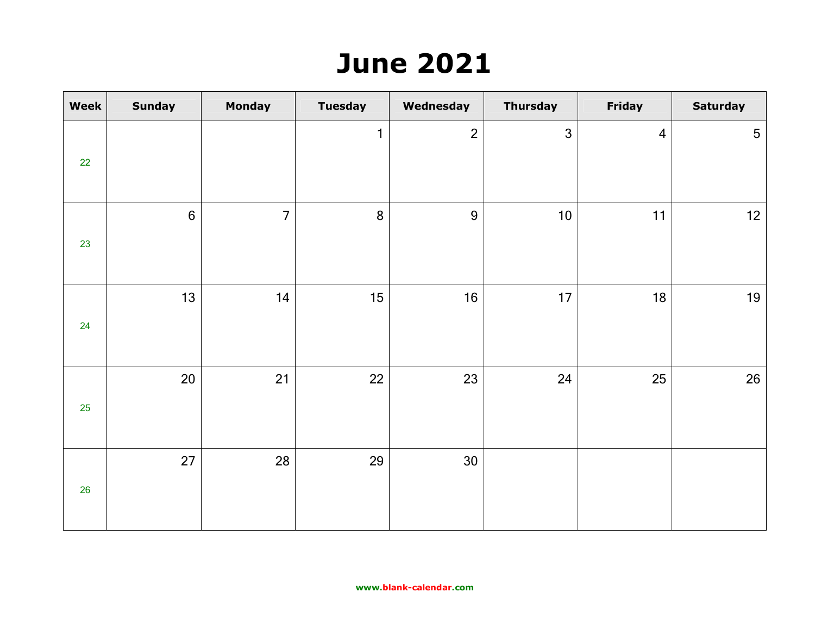### **June 2021**

| Week | <b>Sunday</b> | <b>Monday</b>  | <b>Tuesday</b> | Wednesday      | <b>Thursday</b> | Friday         | <b>Saturday</b> |
|------|---------------|----------------|----------------|----------------|-----------------|----------------|-----------------|
| 22   |               |                | $\mathbf{1}$   | $\overline{2}$ | $\mathbf{3}$    | $\overline{4}$ | $5\phantom{.0}$ |
| 23   | $6\,$         | $\overline{7}$ | 8              | 9              | 10              | 11             | 12              |
| 24   | 13            | 14             | 15             | 16             | 17              | 18             | 19              |
| 25   | 20            | 21             | 22             | 23             | 24              | 25             | 26              |
| 26   | 27            | 28             | 29             | 30             |                 |                |                 |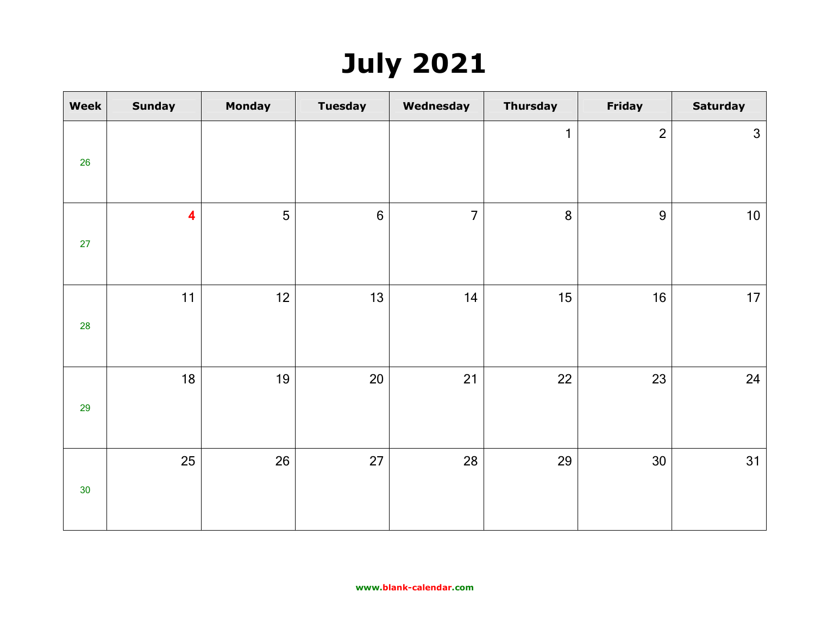# **July 2021**

| Week            | <b>Sunday</b>           | <b>Monday</b> | <b>Tuesday</b> | Wednesday      | <b>Thursday</b> | Friday         | <b>Saturday</b> |
|-----------------|-------------------------|---------------|----------------|----------------|-----------------|----------------|-----------------|
| 26              |                         |               |                |                | $\mathbf{1}$    | $\overline{2}$ | $\mathbf{3}$    |
| 27              | $\overline{\mathbf{4}}$ | 5             | $6\phantom{a}$ | $\overline{7}$ | 8               | 9              | $10\,$          |
| 28              | 11                      | 12            | 13             | 14             | 15              | 16             | 17              |
| 29              | 18                      | 19            | 20             | 21             | 22              | 23             | 24              |
| 30 <sub>o</sub> | 25                      | 26            | 27             | 28             | 29              | 30             | 31              |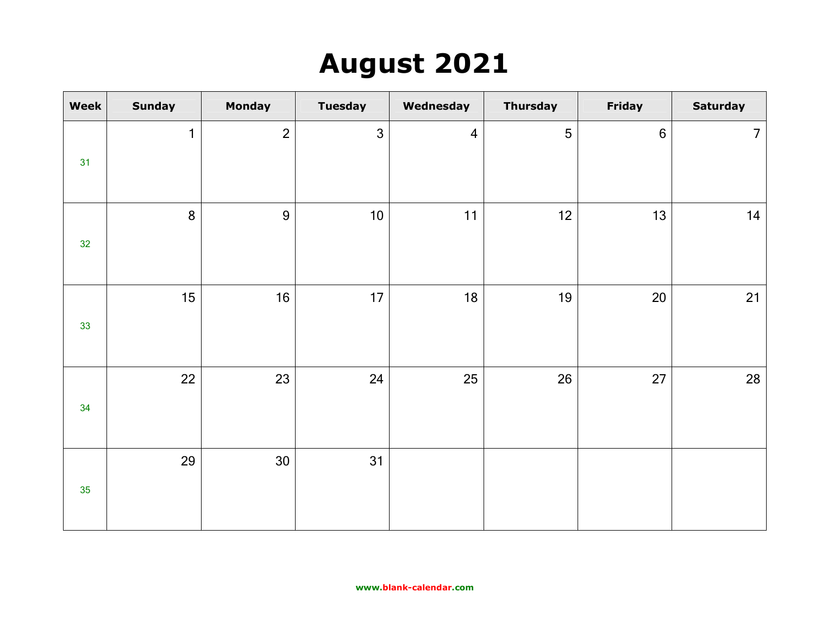## **August 2021**

| <b>Week</b>     | <b>Sunday</b> | <b>Monday</b>  | <b>Tuesday</b> | Wednesday      | <b>Thursday</b> | <b>Friday</b>    | <b>Saturday</b> |
|-----------------|---------------|----------------|----------------|----------------|-----------------|------------------|-----------------|
| 31              | $\mathbf{1}$  | $\overline{2}$ | $\mathfrak{Z}$ | $\overline{4}$ | 5               | $\boldsymbol{6}$ | $\overline{7}$  |
| 32 <sub>2</sub> | 8             | $9$            | $10$           | 11             | 12              | 13               | 14              |
| 33              | 15            | 16             | 17             | 18             | 19              | 20               | 21              |
| 34              | 22            | 23             | 24             | 25             | 26              | 27               | 28              |
| 35              | 29            | 30             | 31             |                |                 |                  |                 |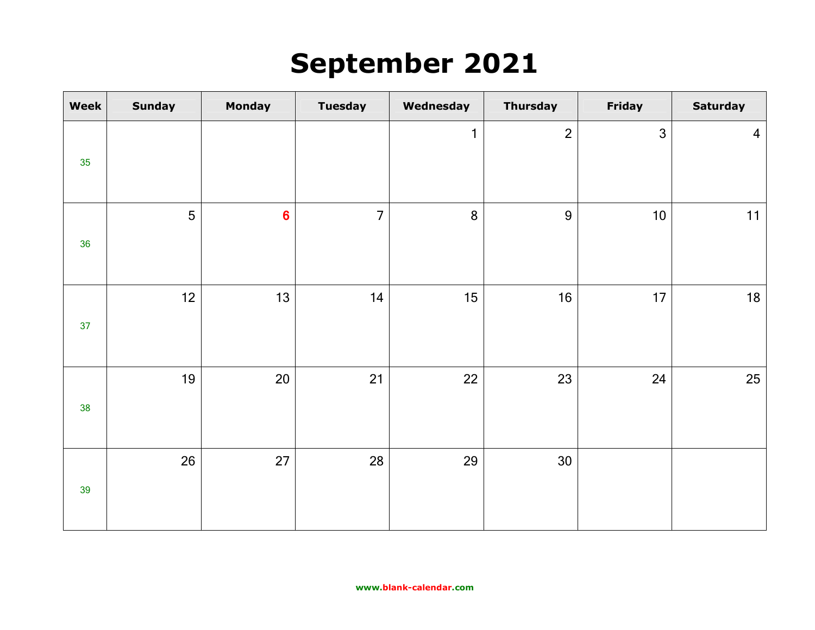### **September 2021**

| Week | <b>Sunday</b> | <b>Monday</b>  | <b>Tuesday</b> | Wednesday    | <b>Thursday</b> | <b>Friday</b> | <b>Saturday</b> |
|------|---------------|----------------|----------------|--------------|-----------------|---------------|-----------------|
| 35   |               |                |                | $\mathbf{1}$ | $\overline{2}$  | $\mathbf{3}$  | $\overline{4}$  |
| 36   | 5             | $6\phantom{a}$ | $\overline{7}$ | 8            | $\overline{9}$  | 10            | 11              |
| 37   | 12            | 13             | 14             | 15           | 16              | 17            | $18$            |
| 38   | 19            | 20             | 21             | 22           | 23              | 24            | 25              |
| 39   | 26            | 27             | 28             | 29           | 30              |               |                 |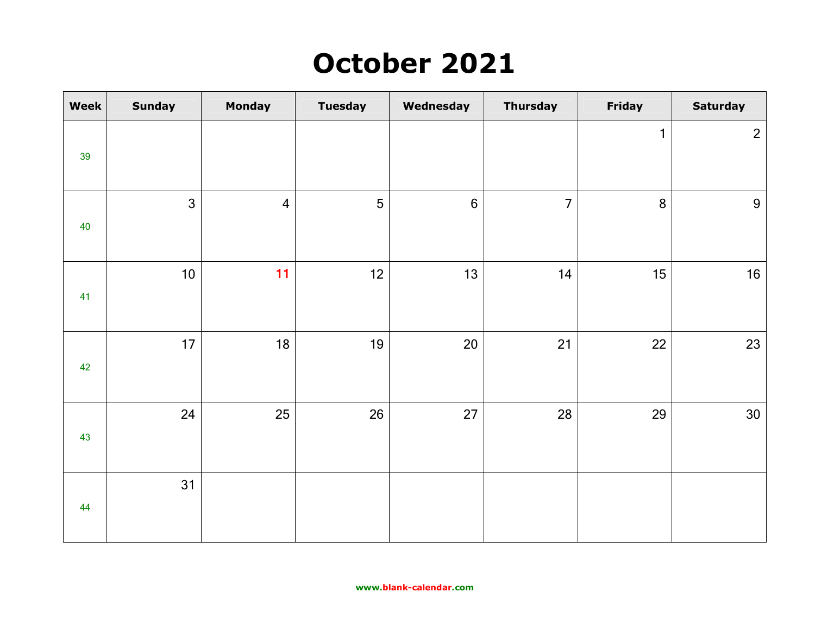## **October 2021**

| Week | <b>Sunday</b>  | <b>Monday</b>  | <b>Tuesday</b> | Wednesday      | <b>Thursday</b> | Friday       | <b>Saturday</b> |
|------|----------------|----------------|----------------|----------------|-----------------|--------------|-----------------|
| 39   |                |                |                |                |                 | $\mathbf{1}$ | $\overline{2}$  |
| 40   | $\overline{3}$ | $\overline{4}$ | 5              | $6\phantom{a}$ | $\overline{7}$  | 8            | $9\,$           |
| 41   | 10             | 11             | 12             | 13             | 14              | 15           | 16              |
| 42   | 17             | 18             | 19             | 20             | 21              | 22           | 23              |
| 43   | 24             | 25             | 26             | 27             | 28              | 29           | 30              |
| 44   | 31             |                |                |                |                 |              |                 |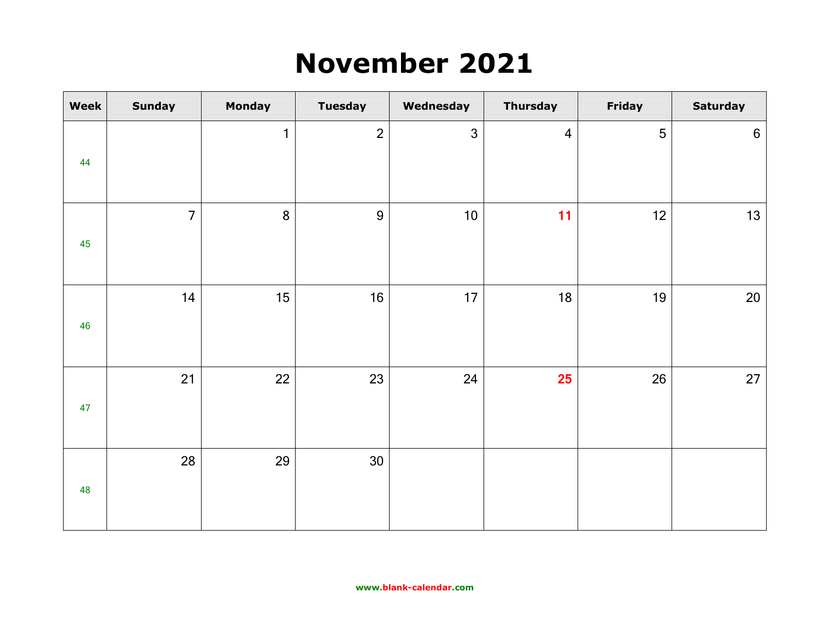### **November 2021**

| Week | <b>Sunday</b>  | <b>Monday</b> | <b>Tuesday</b> | Wednesday    | <b>Thursday</b>         | Friday | <b>Saturday</b> |
|------|----------------|---------------|----------------|--------------|-------------------------|--------|-----------------|
|      |                | $\mathbf{1}$  | $\overline{2}$ | $\mathbf{3}$ | $\overline{\mathbf{4}}$ | 5      | $6\phantom{a}$  |
| 44   |                |               |                |              |                         |        |                 |
|      | $\overline{7}$ | 8             | $\overline{9}$ | 10           | 11                      | 12     | 13              |
| 45   |                |               |                |              |                         |        |                 |
|      | 14             | 15            | 16             | 17           | 18                      | 19     | $20\,$          |
| 46   |                |               |                |              |                         |        |                 |
|      | 21             | 22            | 23             | 24           | 25                      | 26     | $27$            |
| 47   |                |               |                |              |                         |        |                 |
|      | 28             | 29            | 30             |              |                         |        |                 |
| 48   |                |               |                |              |                         |        |                 |